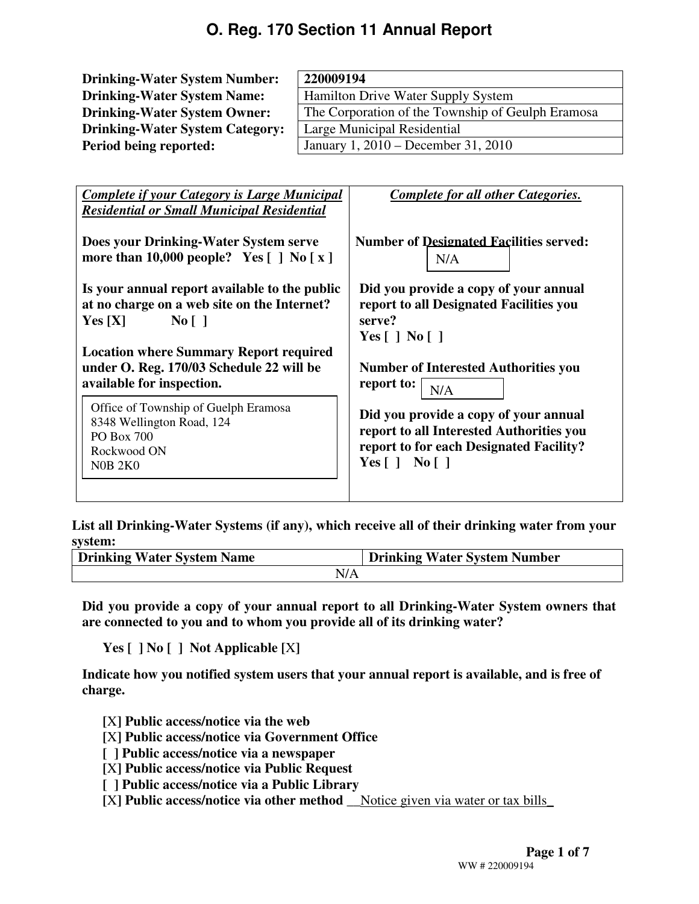| <b>Drinking-Water System Number:</b>              | 220009194                           |                                                   |                                                |  |  |
|---------------------------------------------------|-------------------------------------|---------------------------------------------------|------------------------------------------------|--|--|
| <b>Drinking-Water System Name:</b>                |                                     | Hamilton Drive Water Supply System                |                                                |  |  |
| <b>Drinking-Water System Owner:</b>               |                                     | The Corporation of the Township of Geulph Eramosa |                                                |  |  |
| <b>Drinking-Water System Category:</b>            | Large Municipal Residential         |                                                   |                                                |  |  |
| Period being reported:                            | January 1, 2010 – December 31, 2010 |                                                   |                                                |  |  |
|                                                   |                                     |                                                   |                                                |  |  |
|                                                   |                                     |                                                   |                                                |  |  |
| Complete if your Category is Large Municipal      |                                     |                                                   | Complete for all other Categories.             |  |  |
| <b>Residential or Small Municipal Residential</b> |                                     |                                                   |                                                |  |  |
|                                                   |                                     |                                                   |                                                |  |  |
| Does your Drinking-Water System serve             |                                     |                                                   | <b>Number of Designated Facilities served:</b> |  |  |
| more than 10,000 people? Yes $[ ]$ No $[ x ]$     | N/A                                 |                                                   |                                                |  |  |

**Is your annual report available to the public at no charge on a web site on the Internet? Yes [X] No [ ]**

**Location where Summary Report required under O. Reg. 170/03 Schedule 22 will be available for inspection.** 

Office of Township of Guelph Eramosa 8348 Wellington Road, 124 PO Box 700 Rockwood ON N0B 2K0

**Did you provide a copy of your annual report to all Designated Facilities you serve? Yes [ ] No [ ]** 

**Number of Interested Authorities you report to:**  N/A

**Did you provide a copy of your annual report to all Interested Authorities you report to for each Designated Facility? Yes [ ] No [ ]** 

**List all Drinking-Water Systems (if any), which receive all of their drinking water from your system:** 

| <b>Drinking Water System Name</b> | <b>Drinking Water System Number</b> |
|-----------------------------------|-------------------------------------|
| N/A                               |                                     |

**Did you provide a copy of your annual report to all Drinking-Water System owners that are connected to you and to whom you provide all of its drinking water?** 

**Yes [ ] No [ ] Not Applicable [**X**]** 

**Indicate how you notified system users that your annual report is available, and is free of charge.** 

**[**X**] Public access/notice via the web** 

- **[**X**] Public access/notice via Government Office**
- **[ ] Public access/notice via a newspaper**
- **[**X**] Public access/notice via Public Request**
- **[ ] Public access/notice via a Public Library**
- **[**X**] Public access/notice via other method \_\_**Notice given via water or tax bills\_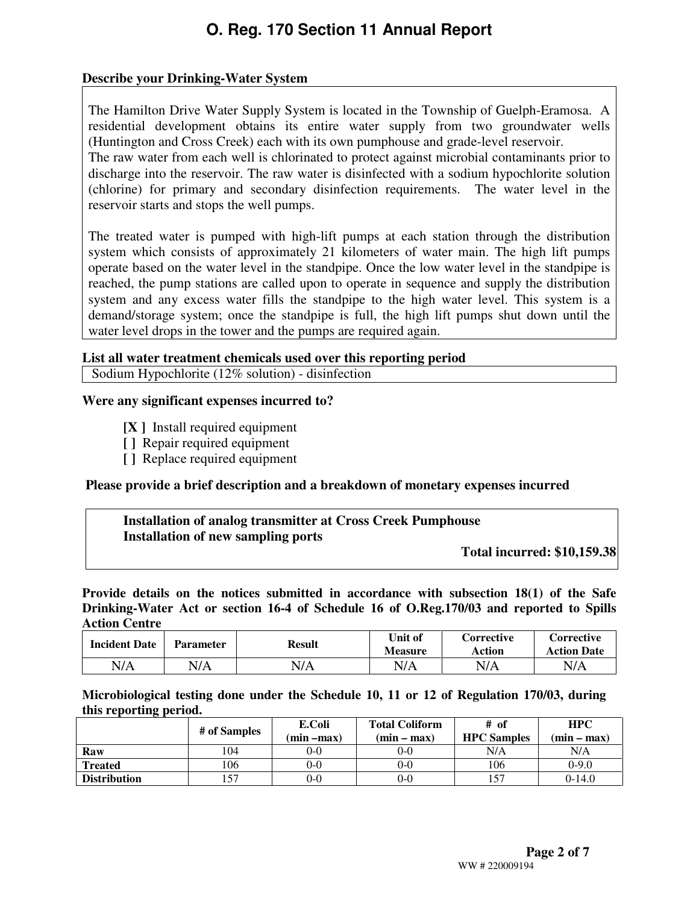#### **Describe your Drinking-Water System**

The Hamilton Drive Water Supply System is located in the Township of Guelph-Eramosa. A residential development obtains its entire water supply from two groundwater wells (Huntington and Cross Creek) each with its own pumphouse and grade-level reservoir.

The raw water from each well is chlorinated to protect against microbial contaminants prior to discharge into the reservoir. The raw water is disinfected with a sodium hypochlorite solution (chlorine) for primary and secondary disinfection requirements. The water level in the reservoir starts and stops the well pumps.

The treated water is pumped with high-lift pumps at each station through the distribution system which consists of approximately 21 kilometers of water main. The high lift pumps operate based on the water level in the standpipe. Once the low water level in the standpipe is reached, the pump stations are called upon to operate in sequence and supply the distribution system and any excess water fills the standpipe to the high water level. This system is a demand/storage system; once the standpipe is full, the high lift pumps shut down until the water level drops in the tower and the pumps are required again.

#### **List all water treatment chemicals used over this reporting period**

Sodium Hypochlorite (12% solution) - disinfection 

#### **Were any significant expenses incurred to?**

- **[X ]** Install required equipment
- **[ ]** Repair required equipment
- **[ ]** Replace required equipment

#### **Please provide a brief description and a breakdown of monetary expenses incurred**

#### **Installation of analog transmitter at Cross Creek Pumphouse Installation of new sampling ports**

**Total incurred: \$10,159.38** 

**Provide details on the notices submitted in accordance with subsection 18(1) of the Safe Drinking-Water Act or section 16-4 of Schedule 16 of O.Reg.170/03 and reported to Spills Action Centre** 

| <b>Incident Date</b> | <b>Parameter</b> | <b>Result</b> | Unit of<br><b>Measure</b> | <b>Corrective</b><br>Action | Corrective<br><b>Action Date</b> |
|----------------------|------------------|---------------|---------------------------|-----------------------------|----------------------------------|
| N/A                  | N/A              | $\nabla/A$    | N/A                       | N/A                         | N/A                              |

**Microbiological testing done under the Schedule 10, 11 or 12 of Regulation 170/03, during this reporting period.** 

|                     | # of Samples | E.Coli        | <b>Total Coliform</b> | # of               | <b>HPC</b>    |
|---------------------|--------------|---------------|-----------------------|--------------------|---------------|
|                     |              | $(min - max)$ | $(min - max)$         | <b>HPC</b> Samples | $(min - max)$ |
| Raw                 | 104          | 0-0           | $0 - 0$               | N/A                | N/A           |
| <b>Treated</b>      | 106          | 0-0           | $0 - 0$               | 106                | $0-9.0$       |
| <b>Distribution</b> | 157          | 0-0           | 0-0                   | 57                 | $0-14.0$      |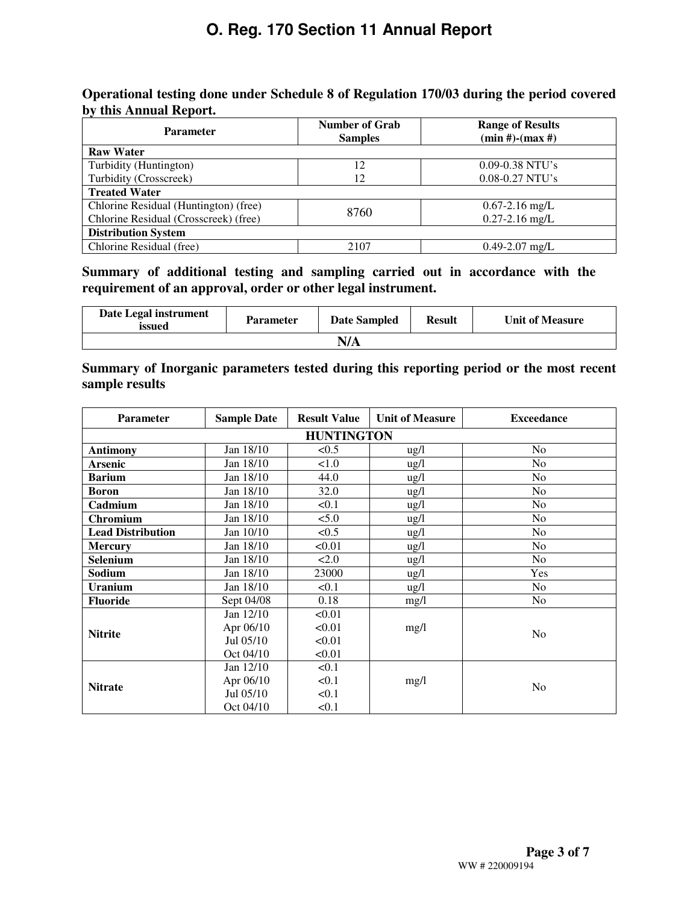#### **Operational testing done under Schedule 8 of Regulation 170/03 during the period covered by this Annual Report.**

| <b>Parameter</b>                      | <b>Number of Grab</b><br><b>Samples</b> | <b>Range of Results</b><br>$(min #)-(max #)$ |
|---------------------------------------|-----------------------------------------|----------------------------------------------|
| <b>Raw Water</b>                      |                                         |                                              |
| Turbidity (Huntington)                | 12                                      | $0.09 - 0.38$ NTU's                          |
| Turbidity (Crosscreek)                | 12                                      | $0.08 - 0.27$ NTU's                          |
| <b>Treated Water</b>                  |                                         |                                              |
| Chlorine Residual (Huntington) (free) | 8760                                    | $0.67 - 2.16$ mg/L                           |
| Chlorine Residual (Crosscreek) (free) |                                         | $0.27 - 2.16$ mg/L                           |
| <b>Distribution System</b>            |                                         |                                              |
| Chlorine Residual (free)              | 2107                                    | $0.49 - 2.07$ mg/L                           |

#### **Summary of additional testing and sampling carried out in accordance with the requirement of an approval, order or other legal instrument.**

| Date Legal instrument<br>issued | <b>Parameter</b> | <b>Date Sampled</b> | <b>Result</b> | <b>Unit of Measure</b> |
|---------------------------------|------------------|---------------------|---------------|------------------------|
|                                 |                  | N/A                 |               |                        |

#### **Summary of Inorganic parameters tested during this reporting period or the most recent sample results**

| <b>Parameter</b>         | <b>Sample Date</b> | <b>Result Value</b> | <b>Unit of Measure</b> | <b>Exceedance</b> |
|--------------------------|--------------------|---------------------|------------------------|-------------------|
|                          |                    | <b>HUNTINGTON</b>   |                        |                   |
| <b>Antimony</b>          | Jan 18/10          | < 0.5               | ug/l                   | N <sub>o</sub>    |
| <b>Arsenic</b>           | Jan 18/10          | 1.0                 | $\frac{1}{2}$          | N <sub>o</sub>    |
| <b>Barium</b>            | Jan 18/10          | 44.0                | $\frac{1}{2}$          | N <sub>o</sub>    |
| <b>Boron</b>             | Jan 18/10          | 32.0                | $\frac{1}{2}$          | No                |
| Cadmium                  | Jan 18/10          | < 0.1               | $\frac{1}{2}$          | N <sub>o</sub>    |
| Chromium                 | Jan 18/10          | 5.0                 | ug/l                   | N <sub>o</sub>    |
| <b>Lead Distribution</b> | Jan 10/10          | < 0.5               | $\frac{1}{2}$          | No                |
| <b>Mercury</b>           | Jan 18/10          | < 0.01              | $\frac{1}{2}$          | N <sub>o</sub>    |
| <b>Selenium</b>          | Jan 18/10          | 2.0                 | $\frac{u g}{l}$        | N <sub>o</sub>    |
| Sodium                   | Jan 18/10          | 23000               | $\frac{1}{2}$          | Yes               |
| <b>Uranium</b>           | Jan 18/10          | < 0.1               | $\frac{1}{2}$          | N <sub>o</sub>    |
| <b>Fluoride</b>          | Sept 04/08         | 0.18                | mg/l                   | No                |
|                          | Jan 12/10          | < 0.01              |                        |                   |
| <b>Nitrite</b>           | Apr 06/10          | < 0.01              | mg/l                   | No                |
|                          | Jul 05/10          | < 0.01              |                        |                   |
|                          | Oct 04/10          | < 0.01              |                        |                   |
|                          | Jan 12/10          | < 0.1               |                        |                   |
| <b>Nitrate</b>           | Apr 06/10          | < 0.1               | mg/l                   | No                |
|                          | Jul 05/10          | < 0.1               |                        |                   |
|                          | Oct 04/10          | < 0.1               |                        |                   |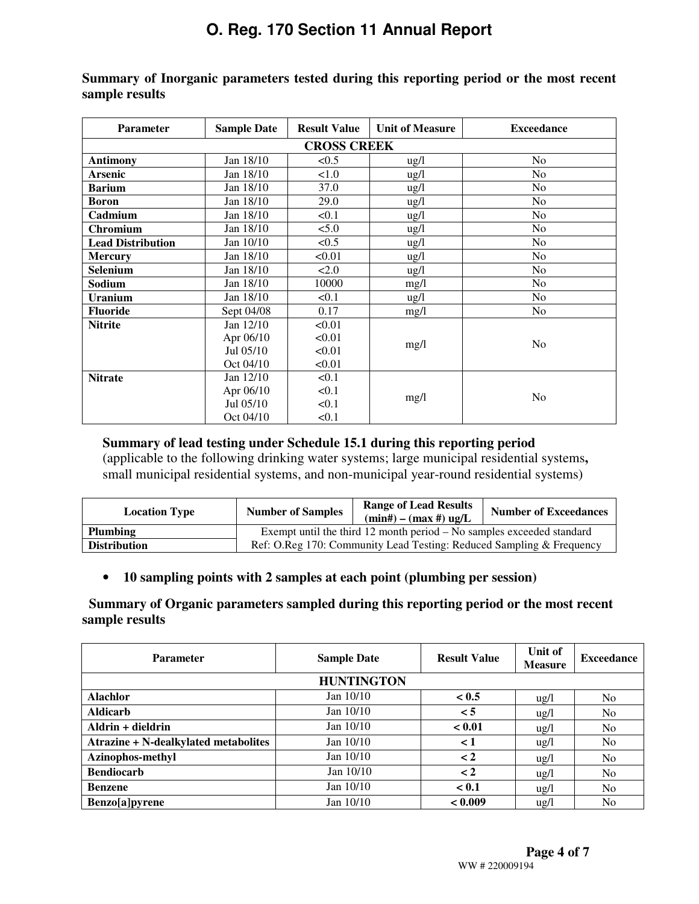| <b>Parameter</b>         | <b>Sample Date</b> | <b>Result Value</b> | <b>Unit of Measure</b> | <b>Exceedance</b> |
|--------------------------|--------------------|---------------------|------------------------|-------------------|
|                          |                    | <b>CROSS CREEK</b>  |                        |                   |
| <b>Antimony</b>          | Jan 18/10          | < 0.5               | ug/l                   | N <sub>0</sub>    |
| <b>Arsenic</b>           | Jan 18/10          | 1.0                 | $\frac{1}{2}$          | N <sub>0</sub>    |
| <b>Barium</b>            | Jan 18/10          | 37.0                | $\frac{1}{2}$          | N <sub>o</sub>    |
| <b>Boron</b>             | Jan 18/10          | 29.0                | $\frac{1}{2}$          | N <sub>o</sub>    |
| Cadmium                  | Jan 18/10          | < 0.1               | $\frac{1}{2}$          | N <sub>0</sub>    |
| Chromium                 | Jan 18/10          | 5.0                 | $\frac{1}{2}$          | N <sub>0</sub>    |
| <b>Lead Distribution</b> | Jan 10/10          | < 0.5               | $\frac{ug}{l}$         | N <sub>o</sub>    |
| <b>Mercury</b>           | Jan 18/10          | < 0.01              | $\frac{1}{2}$          | N <sub>0</sub>    |
| Selenium                 | Jan 18/10          | 2.0                 | $\frac{1}{2}$          | N <sub>0</sub>    |
| Sodium                   | Jan 18/10          | 10000               | mg/l                   | N <sub>o</sub>    |
| <b>Uranium</b>           | Jan 18/10          | < 0.1               | $\frac{1}{2}$          | N <sub>0</sub>    |
| <b>Fluoride</b>          | Sept 04/08         | 0.17                | mg/l                   | N <sub>0</sub>    |
| <b>Nitrite</b>           | Jan 12/10          | < 0.01              |                        |                   |
|                          | Apr 06/10          | < 0.01              |                        | N <sub>0</sub>    |
|                          | Jul 05/10          | < 0.01              | mg/l                   |                   |
|                          | Oct 04/10          | < 0.01              |                        |                   |
| <b>Nitrate</b>           | Jan 12/10          | < 0.1               |                        |                   |
|                          | Apr 06/10          | < 0.1               | mg/l                   | N <sub>0</sub>    |
|                          | Jul 05/10          | < 0.1               |                        |                   |
|                          | Oct 04/10          | < 0.1               |                        |                   |

**Summary of Inorganic parameters tested during this reporting period or the most recent sample results** 

#### **Summary of lead testing under Schedule 15.1 during this reporting period**

(applicable to the following drinking water systems; large municipal residential systems**,**  small municipal residential systems, and non-municipal year-round residential systems)

| <b>Location Type</b> | <b>Number of Samples</b>                                              | <b>Range of Lead Results</b><br>$(min#) - (max#) ug/L$ | <b>Number of Exceedances</b> |  |  |  |
|----------------------|-----------------------------------------------------------------------|--------------------------------------------------------|------------------------------|--|--|--|
| Plumbing             | Exempt until the third 12 month period – No samples exceeded standard |                                                        |                              |  |  |  |
| <b>Distribution</b>  | Ref: O.Reg 170: Community Lead Testing: Reduced Sampling & Frequency  |                                                        |                              |  |  |  |

#### • **10 sampling points with 2 samples at each point (plumbing per session)**

#### **Summary of Organic parameters sampled during this reporting period or the most recent sample results**

| <b>Parameter</b>                     | <b>Sample Date</b> | <b>Result Value</b> | Unit of<br><b>Measure</b> | <b>Exceedance</b> |
|--------------------------------------|--------------------|---------------------|---------------------------|-------------------|
|                                      | <b>HUNTINGTON</b>  |                     |                           |                   |
| <b>Alachlor</b>                      | Jan $10/10$        | < 0.5               | $\frac{ug}{l}$            | N <sub>o</sub>    |
| <b>Aldicarb</b>                      | Jan $10/10$        | $\leq 5$            | $\frac{u g}{l}$           | N <sub>o</sub>    |
| Aldrin + dieldrin                    | Jan $10/10$        | < 0.01              | $\frac{ug}{l}$            | N <sub>o</sub>    |
| Atrazine + N-dealkylated metabolites | Jan $10/10$        | $\leq 1$            | $\frac{u g}{l}$           | No.               |
| Azinophos-methyl                     | Jan $10/10$        | $\lt 2$             | $\frac{ug}{l}$            | N <sub>o</sub>    |
| <b>Bendiocarb</b>                    | Jan $10/10$        | $\lt 2$             | $\frac{u g}{l}$           | N <sub>o</sub>    |
| <b>Benzene</b>                       | Jan $10/10$        | < 0.1               | $\frac{u}{g}$             | N <sub>o</sub>    |
| Benzo[a]pyrene                       | Jan $10/10$        | < 0.009             | $\frac{u g}{l}$           | N <sub>o</sub>    |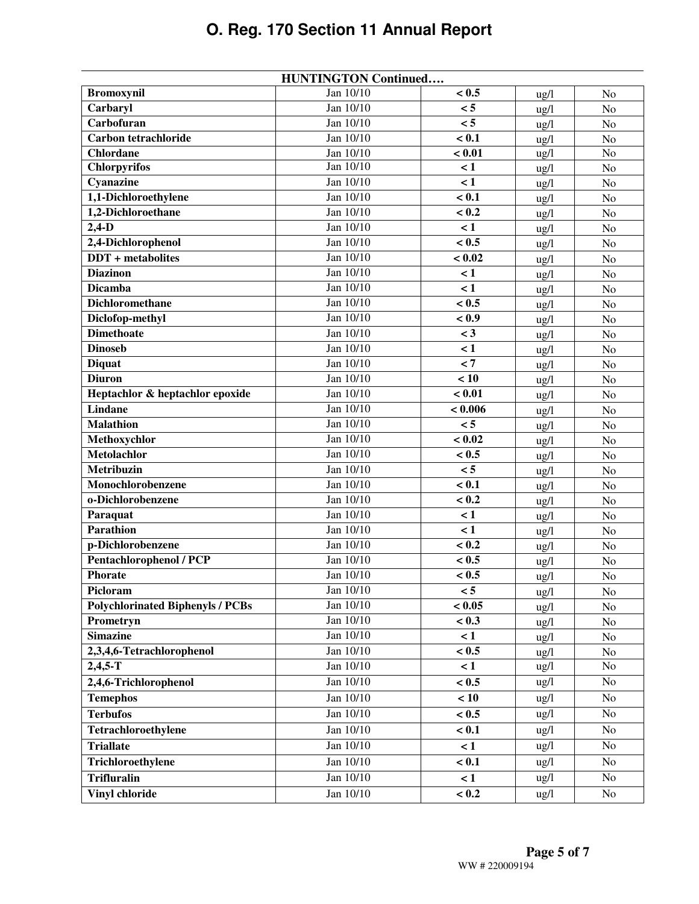|                                         | <b>HUNTINGTON Continued</b> |          |                 |                |
|-----------------------------------------|-----------------------------|----------|-----------------|----------------|
| <b>Bromoxynil</b>                       | Jan $10/10$                 | < 0.5    | $\frac{u}{g}$   | N <sub>o</sub> |
| Carbaryl                                | Jan 10/10                   | < 5      | ug/l            | No             |
| Carbofuran                              | Jan 10/10                   | < 5      | ug/l            | No             |
| Carbon tetrachloride                    | Jan $10/10$                 | < 0.1    | $\frac{u}{g}$   | No             |
| <b>Chlordane</b>                        | Jan 10/10                   | < 0.01   | $\frac{u}{g}$   | No             |
| <b>Chlorpyrifos</b>                     | Jan 10/10                   | $\leq 1$ | ug/l            | No             |
| Cyanazine                               | Jan 10/10                   | $\lt 1$  | $\frac{u}{g}$   | No             |
| 1,1-Dichloroethylene                    | Jan 10/10                   | < 0.1    | ug/l            | No             |
| 1,2-Dichloroethane                      | Jan 10/10                   | < 0.2    | ug/l            | No             |
| $2,4-D$                                 | Jan 10/10                   | $\lt 1$  | $\frac{u}{g}$   | No             |
| 2,4-Dichlorophenol                      | Jan 10/10                   | < 0.5    | ug/l            | No             |
| <b>DDT</b> + metabolites                | Jan 10/10                   | < 0.02   | $\frac{u}{g}$   | No             |
| <b>Diazinon</b>                         | Jan 10/10                   | $\lt 1$  | ug/l            | N <sub>o</sub> |
| <b>Dicamba</b>                          | Jan 10/10                   | $\lt 1$  | $\frac{u}{g}$   | No             |
| <b>Dichloromethane</b>                  | Jan $10/10$                 | < 0.5    | $\frac{u}{g}$   | No             |
| Diclofop-methyl                         | Jan 10/10                   | < 0.9    | ug/l            | No             |
| <b>Dimethoate</b>                       | Jan 10/10                   | $<$ 3    | $\frac{u}{g}$   | No             |
| <b>Dinoseb</b>                          | Jan 10/10                   | $\lt 1$  | $\frac{u}{g}$   | No             |
| <b>Diquat</b>                           | Jan 10/10                   | $\leq 7$ | $\frac{u}{g}$   | N <sub>o</sub> |
| <b>Diuron</b>                           | Jan 10/10                   | < 10     | ug/l            | $\rm No$       |
| Heptachlor & heptachlor epoxide         | Jan 10/10                   | < 0.01   | $\frac{u}{g}$   | No             |
| <b>Lindane</b>                          | Jan 10/10                   | < 0.006  | $\frac{u}{g}$   | No             |
| <b>Malathion</b>                        | Jan 10/10                   | < 5      | $\frac{u}{g}$   | No             |
| Methoxychlor                            | Jan 10/10                   | < 0.02   | $\frac{u}{g}$   | No             |
| <b>Metolachlor</b>                      | Jan 10/10                   | < 0.5    | ug/l            | N <sub>o</sub> |
| Metribuzin                              | Jan 10/10                   | < 5      | $\frac{u}{g}$   | No             |
| Monochlorobenzene                       | Jan 10/10                   | < 0.1    | $\frac{u}{g}$   | No             |
| o-Dichlorobenzene                       | Jan 10/10                   | < 0.2    | $\frac{u}{g}$   | No             |
| Paraquat                                | Jan 10/10                   | $\lt 1$  | ug/l            | No             |
| <b>Parathion</b>                        | Jan 10/10                   | $\leq 1$ | $\frac{u}{g}$   | No             |
| p-Dichlorobenzene                       | Jan 10/10                   | < 0.2    | $\frac{u}{g}$   | No             |
| <b>Pentachlorophenol / PCP</b>          | Jan 10/10                   | < 0.5    | $\frac{u}{g}$   | No             |
| <b>Phorate</b>                          | Jan 10/10                   | < 0.5    | ug/l            | No             |
| Picloram                                | Jan 10/10                   | $< 5\,$  | $\frac{u g}{l}$ | No             |
| <b>Polychlorinated Biphenyls / PCBs</b> | Jan 10/10                   | < 0.05   | $\frac{u}{g}$   | No             |
| Prometryn                               | Jan 10/10                   | < 0.3    | $\frac{u}{g}$   | No             |
| <b>Simazine</b>                         | Jan 10/10                   | $\lt 1$  | $\frac{u g}{l}$ | No             |
| 2,3,4,6-Tetrachlorophenol               | Jan 10/10                   | < 0.5    | $\frac{u g}{l}$ | N <sub>o</sub> |
| $2,4,5-T$                               | Jan 10/10                   | $\lt 1$  | ug/l            | No             |
| 2,4,6-Trichlorophenol                   | Jan 10/10                   | < 0.5    | $\frac{u g}{l}$ | No             |
| <b>Temephos</b>                         | Jan 10/10                   | < 10     | $\frac{u}{g}$   | N <sub>o</sub> |
| <b>Terbufos</b>                         | Jan 10/10                   | < 0.5    | $\frac{u g}{l}$ | No             |
| Tetrachloroethylene                     | Jan 10/10                   | < 0.1    | $\frac{u g}{l}$ | N <sub>o</sub> |
| <b>Triallate</b>                        | Jan 10/10                   | $\lt 1$  | $\frac{u g}{l}$ | N <sub>o</sub> |
| Trichloroethylene                       | Jan 10/10                   | < 0.1    | $\frac{u g}{l}$ | No             |
| <b>Trifluralin</b>                      | Jan 10/10                   | $\leq 1$ | $\frac{u g}{l}$ | No             |
| <b>Vinyl chloride</b>                   | Jan 10/10                   | < 0.2    | $\frac{u g}{l}$ | No             |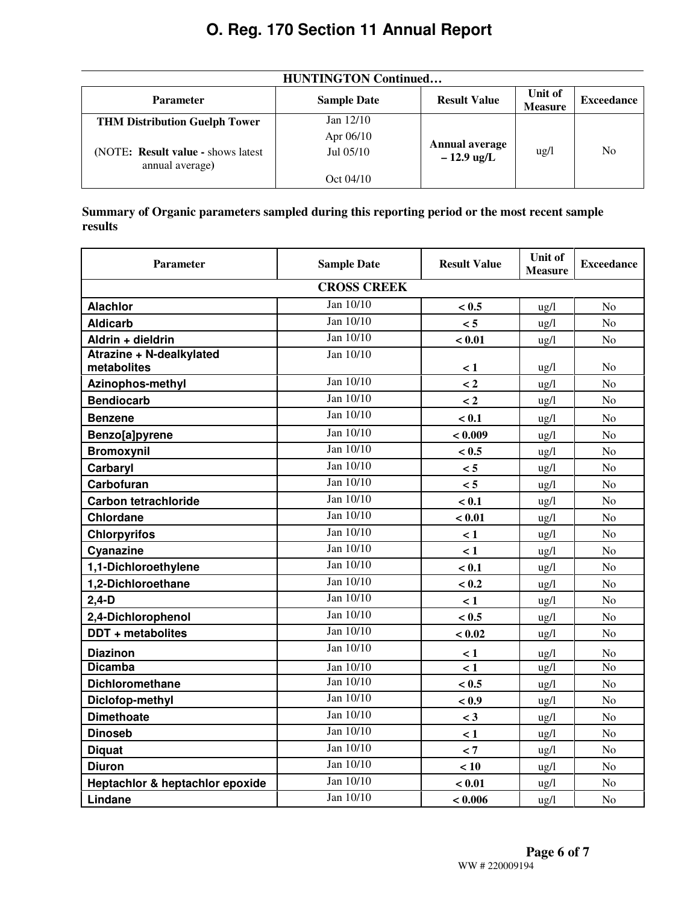| <b>HUNTINGTON Continued</b>                           |                    |                                       |                           |                   |  |
|-------------------------------------------------------|--------------------|---------------------------------------|---------------------------|-------------------|--|
| <b>Parameter</b>                                      | <b>Sample Date</b> | <b>Result Value</b>                   | Unit of<br><b>Measure</b> | <b>Exceedance</b> |  |
| <b>THM Distribution Guelph Tower</b>                  | Jan $12/10$        |                                       |                           |                   |  |
|                                                       | Apr $06/10$        |                                       |                           |                   |  |
| (NOTE: Result value - shows latest<br>annual average) | $Jul$ 0.5/10       | <b>Annual average</b><br>$-12.9$ ug/L | $\frac{u}{g}$             | No                |  |
|                                                       | Oct 04/10          |                                       |                           |                   |  |

**Summary of Organic parameters sampled during this reporting period or the most recent sample results** 

| <b>Parameter</b>                | <b>Sample Date</b> | <b>Result Value</b> | Unit of<br><b>Measure</b> | <b>Exceedance</b> |  |  |  |
|---------------------------------|--------------------|---------------------|---------------------------|-------------------|--|--|--|
| <b>CROSS CREEK</b>              |                    |                     |                           |                   |  |  |  |
| <b>Alachlor</b>                 | Jan 10/10          | < 0.5               | $\frac{1}{2}$             | N <sub>o</sub>    |  |  |  |
| <b>Aldicarb</b>                 | Jan 10/10          | < 5                 | $\frac{u g}{l}$           | No                |  |  |  |
| Aldrin + dieldrin               | Jan 10/10          | < 0.01              | $\frac{u g}{l}$           | N <sub>o</sub>    |  |  |  |
| Atrazine + N-dealkylated        | Jan $10/10$        |                     |                           |                   |  |  |  |
| metabolites                     | Jan 10/10          | $\leq 1$            | $\frac{u g}{l}$           | N <sub>0</sub>    |  |  |  |
| Azinophos-methyl                |                    | $\lt 2$             | $\frac{u g}{l}$           | N <sub>o</sub>    |  |  |  |
| <b>Bendiocarb</b>               | Jan 10/10          | $\lt 2$             | ug/l                      | N <sub>o</sub>    |  |  |  |
| <b>Benzene</b>                  | Jan 10/10          | < 0.1               | $\frac{u g}{l}$           | N <sub>o</sub>    |  |  |  |
| Benzo[a]pyrene                  | Jan $10/10$        | < 0.009             | $\frac{u g}{l}$           | N <sub>o</sub>    |  |  |  |
| <b>Bromoxynil</b>               | Jan 10/10          | < 0.5               | $\frac{u g}{l}$           | N <sub>o</sub>    |  |  |  |
| Carbaryl                        | Jan 10/10          | < 5                 | $\frac{u g}{l}$           | N <sub>o</sub>    |  |  |  |
| Carbofuran                      | Jan 10/10          | < 5                 | $\frac{u g}{l}$           | No                |  |  |  |
| <b>Carbon tetrachloride</b>     | Jan 10/10          | < 0.1               | $\frac{u g}{l}$           | No                |  |  |  |
| <b>Chlordane</b>                | Jan 10/10          | < 0.01              | $\frac{u g}{l}$           | N <sub>o</sub>    |  |  |  |
| <b>Chlorpyrifos</b>             | Jan 10/10          | $\leq 1$            | $\frac{1}{2}$             | N <sub>o</sub>    |  |  |  |
| Cyanazine                       | Jan 10/10          | $\leq 1$            | $\frac{u g}{l}$           | N <sub>o</sub>    |  |  |  |
| 1,1-Dichloroethylene            | Jan 10/10          | < 0.1               | ug/l                      | N <sub>o</sub>    |  |  |  |
| 1,2-Dichloroethane              | Jan 10/10          | < 0.2               | $\frac{u g}{l}$           | N <sub>o</sub>    |  |  |  |
| $2,4-D$                         | Jan 10/10          | < 1                 | $\frac{1}{2}$             | N <sub>o</sub>    |  |  |  |
| 2,4-Dichlorophenol              | Jan 10/10          | < 0.5               | ug/l                      | No                |  |  |  |
| DDT + metabolites               | Jan 10/10          | < 0.02              | $\frac{u}{g}$             | N <sub>o</sub>    |  |  |  |
| <b>Diazinon</b>                 | Jan 10/10          | $\lt 1$             | $\frac{u}{g}$             | N <sub>o</sub>    |  |  |  |
| <b>Dicamba</b>                  | Jan 10/10          | $\lt 1$             | $\frac{u g}{l}$           | N <sub>o</sub>    |  |  |  |
| <b>Dichloromethane</b>          | Jan 10/10          | < 0.5               | $\frac{u}{g}$             | N <sub>o</sub>    |  |  |  |
| Diclofop-methyl                 | Jan 10/10          | < 0.9               | ug/l                      | No                |  |  |  |
| <b>Dimethoate</b>               | Jan 10/10          | $\leq$ 3            | $\frac{u g}{l}$           | N <sub>o</sub>    |  |  |  |
| <b>Dinoseb</b>                  | Jan 10/10          | $\leq 1$            | $\frac{u g}{l}$           | N <sub>o</sub>    |  |  |  |
| <b>Diquat</b>                   | Jan 10/10          | < 7                 | $\frac{u g}{l}$           | N <sub>o</sub>    |  |  |  |
| <b>Diuron</b>                   | Jan 10/10          | < 10                | $\frac{u}{g}$             | N <sub>o</sub>    |  |  |  |
| Heptachlor & heptachlor epoxide | Jan 10/10          | < 0.01              | ug/l                      | No                |  |  |  |
| Lindane                         | Jan 10/10          | < 0.006             | ug/l                      | N <sub>0</sub>    |  |  |  |